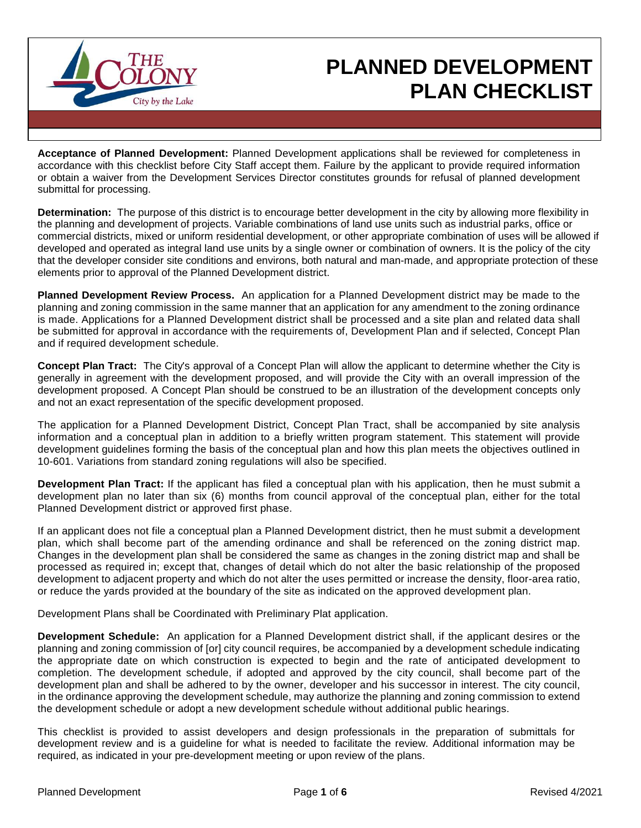

# **PLANNED DEVELOPMENT PLAN CHECKLIST**

**Acceptance of Planned Development:** Planned Development applications shall be reviewed for completeness in accordance with this checklist before City Staff accept them. Failure by the applicant to provide required information or obtain a waiver from the Development Services Director constitutes grounds for refusal of planned development submittal for processing.

**Determination:** The purpose of this district is to encourage better development in the city by allowing more flexibility in the planning and development of projects. Variable combinations of land use units such as industrial parks, office or commercial districts, mixed or uniform residential development, or other appropriate combination of uses will be allowed if developed and operated as integral land use units by a single owner or combination of owners. It is the policy of the city that the developer consider site conditions and environs, both natural and man-made, and appropriate protection of these elements prior to approval of the Planned Development district.

**Planned Development Review Process.** An application for a Planned Development district may be made to the planning and zoning commission in the same manner that an application for any amendment to the zoning ordinance is made. Applications for a Planned Development district shall be processed and a site plan and related data shall be submitted for approval in accordance with the requirements of, Development Plan and if selected, Concept Plan and if required development schedule.

**Concept Plan Tract:** The City's approval of a Concept Plan will allow the applicant to determine whether the City is generally in agreement with the development proposed, and will provide the City with an overall impression of the development proposed. A Concept Plan should be construed to be an illustration of the development concepts only and not an exact representation of the specific development proposed.

The application for a Planned Development District, Concept Plan Tract, shall be accompanied by site analysis information and a conceptual plan in addition to a briefly written program statement. This statement will provide development guidelines forming the basis of the conceptual plan and how this plan meets the objectives outlined in 10-601. Variations from standard zoning regulations will also be specified.

**Development Plan Tract:** If the applicant has filed a conceptual plan with his application, then he must submit a development plan no later than six (6) months from council approval of the conceptual plan, either for the total Planned Development district or approved first phase.

If an applicant does not file a conceptual plan a Planned Development district, then he must submit a development plan, which shall become part of the amending ordinance and shall be referenced on the zoning district map. Changes in the development plan shall be considered the same as changes in the zoning district map and shall be processed as required in; except that, changes of detail which do not alter the basic relationship of the proposed development to adjacent property and which do not alter the uses permitted or increase the density, floor-area ratio, or reduce the yards provided at the boundary of the site as indicated on the approved development plan.

Development Plans shall be Coordinated with Preliminary Plat application.

**Development Schedule:** An application for a Planned Development district shall, if the applicant desires or the planning and zoning commission of [or] city council requires, be accompanied by a development schedule indicating the appropriate date on which construction is expected to begin and the rate of anticipated development to completion. The development schedule, if adopted and approved by the city council, shall become part of the development plan and shall be adhered to by the owner, developer and his successor in interest. The city council, in the ordinance approving the development schedule, may authorize the planning and zoning commission to extend the development schedule or adopt a new development schedule without additional public hearings.

This checklist is provided to assist developers and design professionals in the preparation of submittals for development review and is a guideline for what is needed to facilitate the review. Additional information may be required, as indicated in your pre-development meeting or upon review of the plans.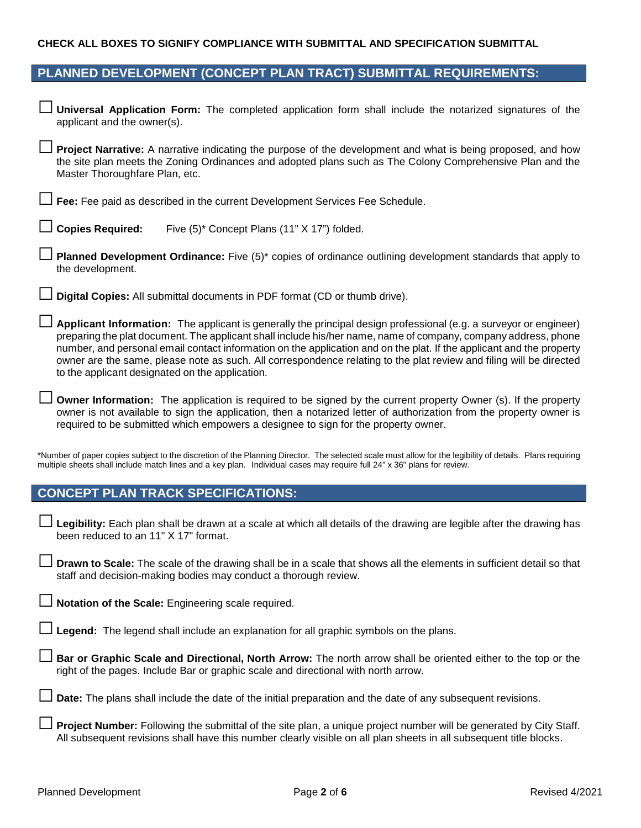#### **CHECK ALL BOXES TO SIGNIFY COMPLIANCE WITH SUBMITTAL AND SPECIFICATION SUBMITTAL**

#### **PLANNED DEVELOPMENT (CONCEPT PLAN TRACT) SUBMITTAL REQUIREMENTS:**

**□ Universal Application Form:** The completed application form shall include the notarized signatures of the applicant and the owner(s).

**□ Project Narrative:** A narrative indicating the purpose of the development and what is being proposed, and how the site plan meets the Zoning Ordinances and adopted plans such as The Colony Comprehensive Plan and the Master Thoroughfare Plan, etc.

**□ Fee:** Fee paid as described in the current Development Services Fee Schedule.

**□ Planned Development Ordinance:** Five (5)\* copies of ordinance outlining development standards that apply to the development.

**□ Digital Copies:** All submittal documents in PDF format (CD or thumb drive).

**□ Applicant Information:** The applicant is generally the principal design professional (e.g. <sup>a</sup> surveyor or engineer) preparing the plat document. The applicant shall include his/her name, name of company, company address, phone number, and personal email contact information on the application and on the plat. If the applicant and the property owner are the same, please note as such. All correspondence relating to the plat review and filing will be directed to the applicant designated on the application.

**□ Owner Information:** The application is required to be signed by the current property Owner (s). If the property owner is not available to sign the application, then a notarized letter of authorization from the property owner is required to be submitted which empowers a designee to sign for the property owner.

\*Number of paper copies subject to the discretion of the Planning Director. The selected scale must allow for the legibility of details. Plans requiring multiple sheets shall include match lines and a key plan. Individual cases may require full 24" x 36" plans for review.

#### **CONCEPT PLAN TRACK SPECIFICATIONS:**

□ **Legibility:** Each plan shall be drawn at a scale at which all details of the drawing are legible after the drawing has been reduced to an 11" X 17" format.

□ **Drawn to Scale:** The scale of the drawing shall be in a scale that shows all the elements in sufficient detail so that staff and decision-making bodies may conduct a thorough review.

Notation of the Scale: Engineering scale required.

Legend: The legend shall include an explanation for all graphic symbols on the plans.

Bar or Graphic Scale and Directional, North Arrow: The north arrow shall be oriented either to the top or the right of the pages. Include Bar or graphic scale and directional with north arrow.

**Date:** The plans shall include the date of the initial preparation and the date of any subsequent revisions.

**Project Number:** Following the submittal of the site plan, a unique project number will be generated by City Staff. All subsequent revisions shall have this number clearly visible on all plan sheets in all subsequent title blocks.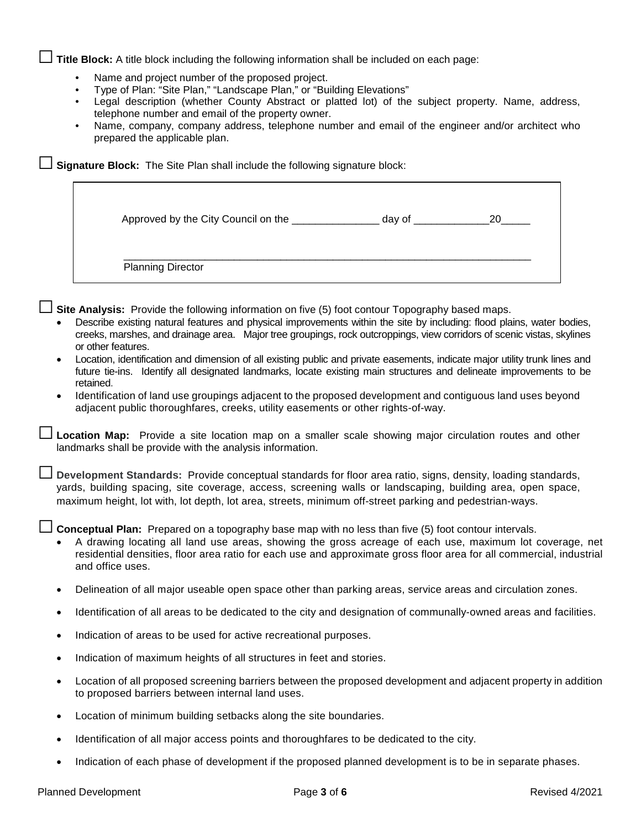□ **Title Block:** A title block including the following information shall be included on each page:

- Name and project number of the proposed project.
- Type of Plan: "Site Plan," "Landscape Plan," or "Building Elevations"
- Legal description (whether County Abstract or platted lot) of the subject property. Name, address, telephone number and email of the property owner.
- Name, company, company address, telephone number and email of the engineer and/or architect who prepared the applicable plan.

□ **Signature Block:** The Site Plan shall include the following signature block:

| Approved by the City Council on the | day of $\_$ | 20 |
|-------------------------------------|-------------|----|
| <b>Planning Director</b>            |             |    |

Site Analysis: Provide the following information on five (5) foot contour Topography based maps.

- Describe existing natural features and physical improvements within the site by including: flood plains, water bodies, creeks, marshes, and drainage area. Major tree groupings, rock outcroppings, view corridors of scenic vistas, skylines or other features.
- Location, identification and dimension of all existing public and private easements, indicate major utility trunk lines and future tie-ins. Identify all designated landmarks, locate existing main structures and delineate improvements to be retained.
- Identification of land use groupings adjacent to the proposed development and contiguous land uses beyond adjacent public thoroughfares, creeks, utility easements or other rights-of-way.

**□ Location Map:** Provide a site location map on a smaller scale showing major circulation routes and other landmarks shall be provide with the analysis information.

**□ Development Standards:** Provide conceptual standards for floor area ratio, signs, density, loading standards, yards, building spacing, site coverage, access, screening walls or landscaping, building area, open space, maximum height, lot with, lot depth, lot area, streets, minimum off-street parking and pedestrian-ways.

**Conceptual Plan:** Prepared on a topography base map with no less than five (5) foot contour intervals.

- A drawing locating all land use areas, showing the gross acreage of each use, maximum lot coverage, net residential densities, floor area ratio for each use and approximate gross floor area for all commercial, industrial and office uses.
- Delineation of all major useable open space other than parking areas, service areas and circulation zones.
- Identification of all areas to be dedicated to the city and designation of communally-owned areas and facilities.
- Indication of areas to be used for active recreational purposes.
- Indication of maximum heights of all structures in feet and stories.
- Location of all proposed screening barriers between the proposed development and adjacent property in addition to proposed barriers between internal land uses.
- Location of minimum building setbacks along the site boundaries.
- Identification of all major access points and thoroughfares to be dedicated to the city.
- Indication of each phase of development if the proposed planned development is to be in separate phases.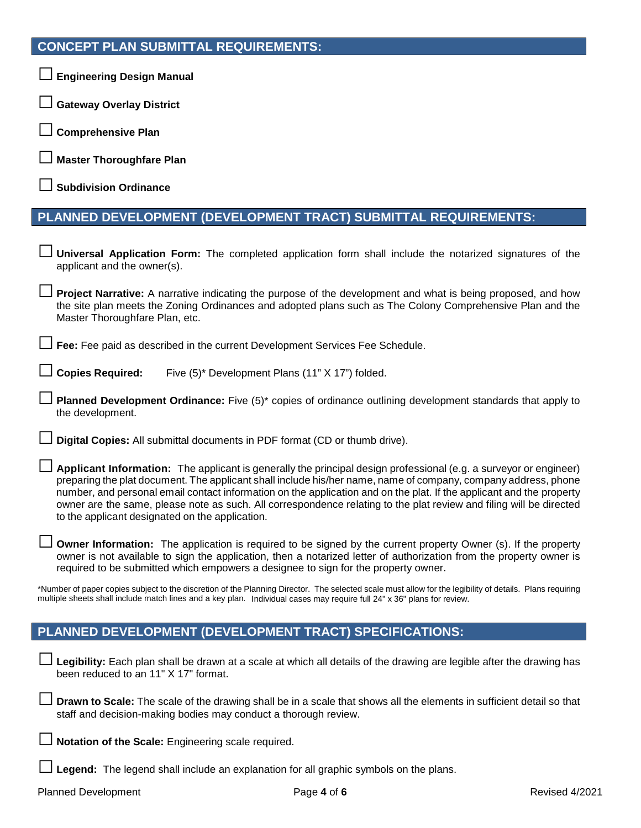## **CONCEPT PLAN SUBMITTAL REQUIREMENTS:**

| └─ Engineering Design Manual                                                                                                                                                                                                                                                                                                                                                                                                                                                                                                                 |
|----------------------------------------------------------------------------------------------------------------------------------------------------------------------------------------------------------------------------------------------------------------------------------------------------------------------------------------------------------------------------------------------------------------------------------------------------------------------------------------------------------------------------------------------|
| □ Gateway Overlay District                                                                                                                                                                                                                                                                                                                                                                                                                                                                                                                   |
| <b>Comprehensive Plan</b>                                                                                                                                                                                                                                                                                                                                                                                                                                                                                                                    |
| <b>□ Master Thoroughfare Plan</b>                                                                                                                                                                                                                                                                                                                                                                                                                                                                                                            |
| $\Box$ Subdivision Ordinance                                                                                                                                                                                                                                                                                                                                                                                                                                                                                                                 |
| PLANNED DEVELOPMENT (DEVELOPMENT TRACT) SUBMITTAL REQUIREMENTS:                                                                                                                                                                                                                                                                                                                                                                                                                                                                              |
| J Universal Application Form: The completed application form shall include the notarized signatures of the<br>applicant and the owner(s).                                                                                                                                                                                                                                                                                                                                                                                                    |
| <b>Project Narrative:</b> A narrative indicating the purpose of the development and what is being proposed, and how<br>the site plan meets the Zoning Ordinances and adopted plans such as The Colony Comprehensive Plan and the<br>Master Thoroughfare Plan, etc.                                                                                                                                                                                                                                                                           |
| Fee: Fee paid as described in the current Development Services Fee Schedule.                                                                                                                                                                                                                                                                                                                                                                                                                                                                 |
| $\Box$ Copies Required:<br>Five (5)* Development Plans (11" X 17") folded.                                                                                                                                                                                                                                                                                                                                                                                                                                                                   |
| <b>Dependence Development Ordinance:</b> Five (5)* copies of ordinance outlining development standards that apply to D<br>the development.                                                                                                                                                                                                                                                                                                                                                                                                   |
| Digital Copies: All submittal documents in PDF format (CD or thumb drive).                                                                                                                                                                                                                                                                                                                                                                                                                                                                   |
| $\Box$ Applicant Information: The applicant is generally the principal design professional (e.g. a surveyor or engineer)<br>preparing the plat document. The applicant shall include his/her name, name of company, company address, phone<br>number, and personal email contact information on the application and on the plat. If the applicant and the property<br>owner are the same, please note as such. All correspondence relating to the plat review and filing will be directed<br>to the applicant designated on the application. |
| <b>Owner Information:</b> The application is required to be signed by the current property Owner (s). If the property<br>owner is not available to sign the application, then a notarized letter of authorization from the property owner is<br>required to be submitted which empowers a designee to sign for the property owner.                                                                                                                                                                                                           |
| *Number of paper copies subject to the discretion of the Planning Director. The selected scale must allow for the legibility of details. Plans requiring<br>multiple sheets shall include match lines and a key plan. Individual cases may require full 24" x 36" plans for review.                                                                                                                                                                                                                                                          |
| PLANNED DEVELOPMENT (DEVELOPMENT TRACT) SPECIFICATIONS:                                                                                                                                                                                                                                                                                                                                                                                                                                                                                      |
| Legibility: Each plan shall be drawn at a scale at which all details of the drawing are legible after the drawing has<br>been reduced to an 11" X 17" format.                                                                                                                                                                                                                                                                                                                                                                                |

□ **Drawn to Scale:** The scale of the drawing shall be in a scale that shows all the elements in sufficient detail so that staff and decision-making bodies may conduct a thorough review.

□ **Notation of the Scale:** Engineering scale required.

□ **Legend:** The legend shall include an explanation for all graphic symbols on the plans.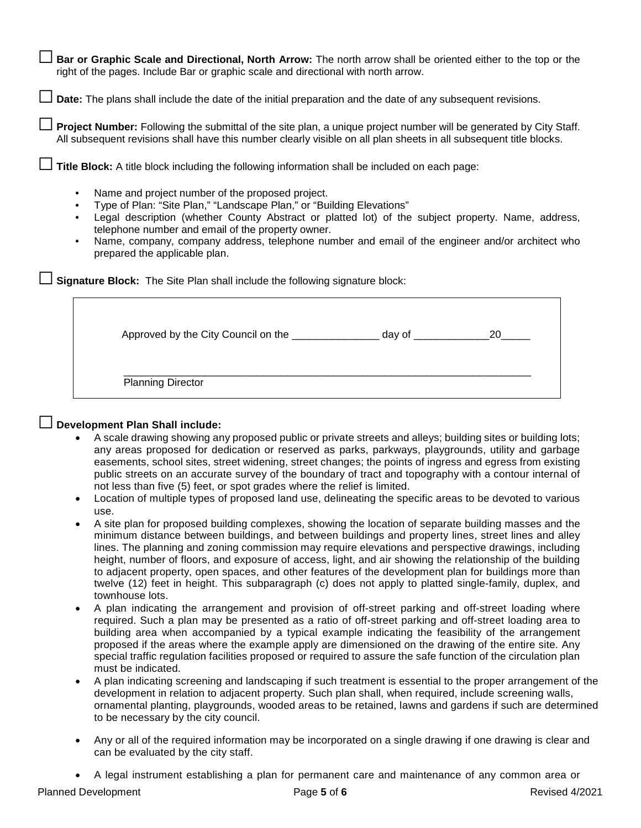Bar or Graphic Scale and Directional, North Arrow: The north arrow shall be oriented either to the top or the right of the pages. Include Bar or graphic scale and directional with north arrow.

□ **Date:** The plans shall include the date of the initial preparation and the date of any subsequent revisions.

□ **Project Number:** Following the submittal of the site plan, a unique project number will be generated by City Staff. All subsequent revisions shall have this number clearly visible on all plan sheets in all subsequent title blocks.

□ **Title Block:** A title block including the following information shall be included on each page:

- Name and project number of the proposed project.
- Type of Plan: "Site Plan," "Landscape Plan," or "Building Elevations"
- Legal description (whether County Abstract or platted lot) of the subject property. Name, address, telephone number and email of the property owner.
- Name, company, company address, telephone number and email of the engineer and/or architect who prepared the applicable plan.

□ **Signature Block:** The Site Plan shall include the following signature block:

| Approved by the City Council on the | dav oʻ |  |
|-------------------------------------|--------|--|
|-------------------------------------|--------|--|

\_\_\_\_\_\_\_\_\_\_\_\_\_\_\_\_\_\_\_\_\_\_\_\_\_\_\_\_\_\_\_\_\_\_\_\_\_\_\_\_\_\_\_\_\_\_\_\_\_\_\_\_\_\_\_\_\_\_\_\_\_\_\_\_\_\_\_\_\_\_ Planning Director

### **□ Development Plan Shall include:**

- A scale drawing showing any proposed public or private streets and alleys; building sites or building lots; any areas proposed for dedication or reserved as parks, parkways, playgrounds, utility and garbage easements, school sites, street widening, street changes; the points of ingress and egress from existing public streets on an accurate survey of the boundary of tract and topography with a contour internal of not less than five (5) feet, or spot grades where the relief is limited.
- Location of multiple types of proposed land use, delineating the specific areas to be devoted to various use.
- A site plan for proposed building complexes, showing the location of separate building masses and the minimum distance between buildings, and between buildings and property lines, street lines and alley lines. The planning and zoning commission may require elevations and perspective drawings, including height, number of floors, and exposure of access, light, and air showing the relationship of the building to adjacent property, open spaces, and other features of the development plan for buildings more than twelve (12) feet in height. This subparagraph (c) does not apply to platted single-family, duplex, and townhouse lots.
- A plan indicating the arrangement and provision of off-street parking and off-street loading where required. Such a plan may be presented as a ratio of off-street parking and off-street loading area to building area when accompanied by a typical example indicating the feasibility of the arrangement proposed if the areas where the example apply are dimensioned on the drawing of the entire site. Any special traffic regulation facilities proposed or required to assure the safe function of the circulation plan must be indicated.
- A plan indicating screening and landscaping if such treatment is essential to the proper arrangement of the development in relation to adjacent property. Such plan shall, when required, include screening walls, ornamental planting, playgrounds, wooded areas to be retained, lawns and gardens if such are determined to be necessary by the city council.
- Any or all of the required information may be incorporated on a single drawing if one drawing is clear and can be evaluated by the city staff.
- A legal instrument establishing a plan for permanent care and maintenance of any common area or